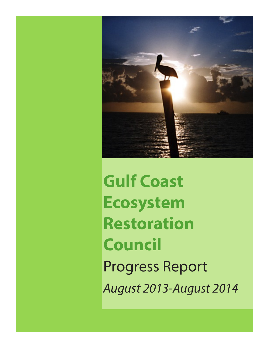

**Gulf Coast Ecosystem Restoration Council** Progress Report *August 2013-August 2014*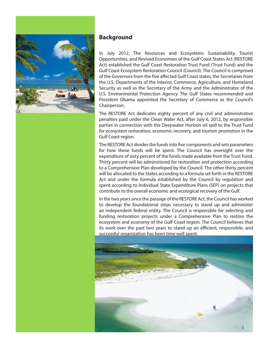

#### **Background**

In July 2012, The Resources and Ecosystems Sustainability, Tourist Opportunities, and Revived Economies of the Gulf Coast States Act (RESTORE Act) established the Gulf Coast Restoration Trust Fund (Trust Fund) and the Gulf Coast Ecosystem Restoration Council (Council). The Council is comprised of the Governors from the five affected Gulf Coast states, the Secretaries from the U.S. Departments of the Interior, Commerce, Agriculture, and Homeland Security as well as the Secretary of the Army and the Administrator of the U.S. Environmental Protection Agency. The Gulf States recommended and President Obama appointed the Secretary of Commerce as the Council's Chairperson.

The RESTORE Act dedicates eighty percent of any civil and administrative penalties paid under the Clean Water Act, after July 6, 2012, by responsible parties in connection with the Deepwater Horizon oil spill to the Trust Fund for ecosystem restoration, economic recovery, and tourism promotion in the Gulf Coast region.

The RESTORE Act divides the funds into five components and sets parameters for how these funds will be spent. The Council has oversight over the expenditure of sixty percent of the funds made available from the Trust Fund. Thirty percent will be administered for restoration and protection according to a Comprehensive Plan developed by the Council. The other thirty percent will be allocated to the States according to a formula set forth in the RESTORE Act and under the formula established by the Council by regulation and spent according to individual State Expenditure Plans (SEP) on projects that contribute to the overall economic and ecological recovery of the Gulf.

In the two years since the passage of the RESTORE Act, the Council has worked to develop the foundational steps necessary to stand up and administer an independent federal entity. The Council is responsible for selecting and funding restoration projects under a Comprehensive Plan to restore the ecosystem and economy of the Gulf Coast region. The Council believes that its work over the past two years to stand up an efficient, responsible, and successful organization has been time well spent.

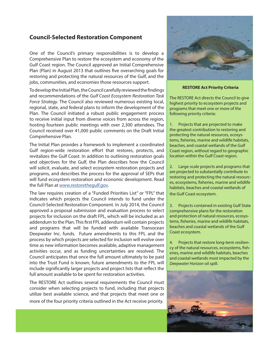### **Council-Selected Restoration Component**

One of the Council's primary responsibilities is to develop a Comprehensive Plan to restore the ecosystem and economy of the Gulf Coast region. The Council approved an Initial Comprehensive Plan (Plan) in August 2013 that outlines five overarching goals for restoring and protecting the natural resources of the Gulf, and the jobs, communities, and economies those resources support.

To develop the Initial Plan, the Council carefully reviewed the findings and recommendations of the *Gulf Coast Ecosystem Restoration Task Force Strategy*. The Council also reviewed numerous existing local, regional, state, and federal plans to inform the development of the Plan. The Council initiated a robust public engagement process to receive initial input from diverse voices from across the region, hosting fourteen public meetings with over 2,300 attendees. The Council received over 41,000 public comments on the Draft Initial Comprehensive Plan.

The Initial Plan provides a framework to implement a coordinated Gulf region-wide restoration effort that restores, protects, and revitalizes the Gulf Coast. In addition to outlining restoration goals and objectives for the Gulf, the Plan describes how the Council will solicit, evaluate, and select ecosystem restoration projects and programs, and describes the process for the approval of SEPs that will fund ecosystem restoration and economic development. Read the full Plan at [www.restorethegulf.gov](http://www.restorethegulf.gov).

The law requires creation of a "Funded Priorities List" or "FPL" that indicates which projects the Council intends to fund under the Council-Selected Restoration Component. In July 2014, the Council approved a proposal submission and evaluation process to select projects for inclusion on the draft FPL, which will be included as an addendum to the Plan. This first FPL addendum will contain projects and programs that will be funded with available Transocean Deepwater Inc. funds. Future amendments to this FPL and the process by which projects are selected for inclusion will evolve over time as new information becomes available, adaptive management activities occur, and as funding uncertainties are resolved. The Council anticipates that once the full amount ultimately to be paid into the Trust Fund is known, future amendments to the FPL will include significantly larger projects and project lists that reflect the full amount available to be spent for restoration activities.

The RESTORE Act outlines several requirements the Council must consider when selecting projects to fund, including that projects utilize best available science, and that projects that meet one or more of the four priority criteria outlined in the Act receive priority.



#### **RESTORE Act Priority Criteria**

The RESTORE Act directs the Council to give highest priority to ecosystem projects and programs that meet one or more of the following priority criteria:

1. Projects that are projected to make the greatest contribution to restoring and protecting the natural resources, ecosystems, fisheries, marine and wildlife habitats, beaches, and coastal wetlands of the Gulf Coast region, without regard to geographic location within the Gulf Coast region.

Large-scale projects and programs that are projected to substantially contribute to restoring and protecting the natural resources, ecosystems, fisheries, marine and wildlife habitats, beaches and coastal wetlands of the Gulf Coast ecosystem.

3. Projects contained in existing Gulf State comprehensive plans for the restoration and protection of natural resources, ecosystems, fisheries, marine and wildlife habitats, beaches and coastal wetlands of the Gulf Coast ecosystem.

4. Projects that restore long-term resiliency of the natural resources, ecosystems, fisheries, marine and wildlife habitats, beaches and coastal wetlands most impacted by the *Deepwater Horizon* oil spill.

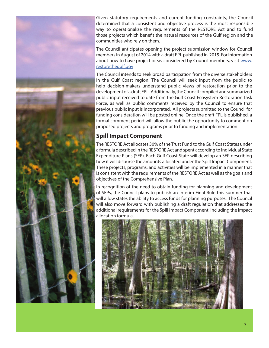

Given statutory requirements and current funding constraints, the Council determined that a consistent and objective process is the most responsible way to operationalize the requirements of the RESTORE Act and to fund those projects which benefit the natural resources of the Gulf region and the communities who rely on them.

The Council anticipates opening the project submission window for Council members in August of 2014 with a draft FPL published in 2015. For information about how to have project ideas considered by Council members, visit [www.](http://www.restorethegulf.gov) [restorethegulf.gov](http://www.restorethegulf.gov)

The Council intends to seek broad participation from the diverse stakeholders in the Gulf Coast region. The Council will seek input from the public to help decision-makers understand public views of restoration prior to the development of a draft FPL. Additionally, the Council compiled and summarized public input received to date from the Gulf Coast Ecosystem Restoration Task Force, as well as public comments received by the Council to ensure that previous public input is incorporated. All projects submitted to the Council for funding consideration will be posted online. Once the draft FPL is published, a formal comment period will allow the public the opportunity to comment on proposed projects and programs prior to funding and implementation.

## **Spill Impact Component**

The RESTORE Act allocates 30% of the Trust Fund to the Gulf Coast States under a formula described in the RESTORE Act and spent according to individual State Expenditure Plans (SEP). Each Gulf Coast State will develop an SEP describing how it will disburse the amounts allocated under the Spill Impact Component. These projects, programs, and activities will be implemented in a manner that is consistent with the requirements of the RESTORE Act as well as the goals and objectives of the Comprehensive Plan.

In recognition of the need to obtain funding for planning and development of SEPs, the Council plans to publish an Interim Final Rule this summer that will allow states the ability to access funds for planning purposes. The Council will also move forward with publishing a draft regulation that addresses the additional requirements for the Spill Impact Component, including the impact allocation formula.

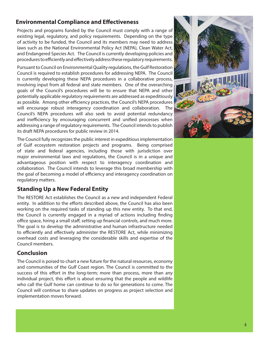## **Environmental Compliance and Effectiveness**

Projects and programs funded by the Council must comply with a range of existing legal, regulatory, and policy requirements. Depending on the type of activity to be funded, the Council and its members may need to address laws such as the National Environmental Policy Act (NEPA), Clean Water Act, and Endangered Species Act. The Council is currently developing policies and procedures to efficiently and effectively address these regulatory requirements.

Pursuant to Council on Environmental Quality regulations, the Gulf Restoration Council is required to establish procedures for addressing NEPA. The Council is currently developing these NEPA procedures in a collaborative process, involving input from all federal and state members. One of the overarching goals of the Council's procedures will be to ensure that NEPA and other potentially applicable regulatory requirements are addressed as expeditiously as possible. Among other efficiency practices, the Council's NEPA procedures will encourage robust interagency coordination and collaboration. The Council's NEPA procedures will also seek to avoid potential redundancy and inefficiency by encouraging concurrent and unified processes when addressing a range of regulatory requirements. The Council intends to publish its draft NEPA procedures for public review in 2014.

The Council fully recognizes the public interest in expeditious implementation of Gulf ecosystem restoration projects and programs. Being comprised of state and federal agencies, including those with jurisdiction over major environmental laws and regulations, the Council is in a unique and advantageous position with respect to interagency coordination and collaboration. The Council intends to leverage this broad membership with the goal of becoming a model of efficiency and interagency coordination on regulatory matters.

# **Standing Up a New Federal Entity**

The RESTORE Act establishes the Council as a new and independent Federal entity. In addition to the efforts described above, the Council has also been working on the required tasks of standing up this new entity. To that end, the Council is currently engaged in a myriad of actions including finding office space, hiring a small staff, setting up financial controls, and much more. The goal is to develop the administrative and human infrastructure needed to efficiently and effectively administer the RESTORE Act, while minimizing overhead costs and leveraging the considerable skills and expertise of the Council members.

# **Conclusion**

The Council is poised to chart a new future for the natural resources, economy and communities of the Gulf Coast region. The Council is committed to the success of this effort in the long-term; more than process, more than any individual project, this effort is about ensuring that the people and wildlife who call the Gulf home can continue to do so for generations to come. The Council will continue to share updates on progress as project selection and implementation moves forward.